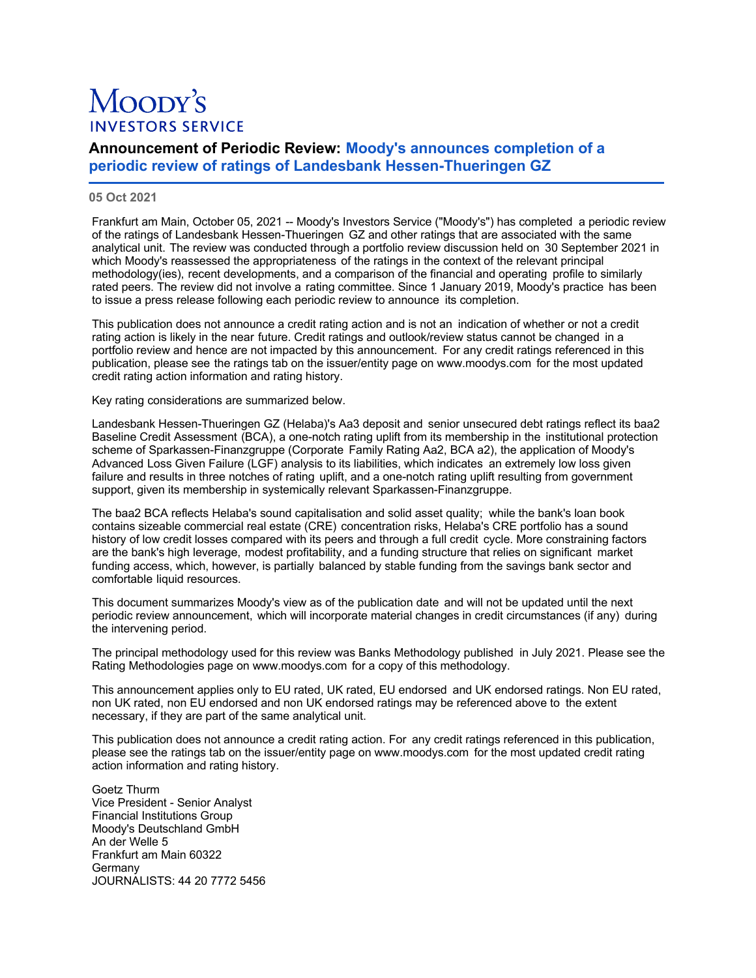## Moopy's **INVESTORS SERVICE**

## **Announcement of Periodic Review: Moody's announces completion of a periodic review of ratings of Landesbank Hessen-Thueringen GZ**

## **05 Oct 2021**

Frankfurt am Main, October 05, 2021 -- Moody's Investors Service ("Moody's") has completed a periodic review of the ratings of Landesbank Hessen-Thueringen GZ and other ratings that are associated with the same analytical unit. The review was conducted through a portfolio review discussion held on 30 September 2021 in which Moody's reassessed the appropriateness of the ratings in the context of the relevant principal methodology(ies), recent developments, and a comparison of the financial and operating profile to similarly rated peers. The review did not involve a rating committee. Since 1 January 2019, Moody's practice has been to issue a press release following each periodic review to announce its completion.

This publication does not announce a credit rating action and is not an indication of whether or not a credit rating action is likely in the near future. Credit ratings and outlook/review status cannot be changed in a portfolio review and hence are not impacted by this announcement. For any credit ratings referenced in this publication, please see the ratings tab on the issuer/entity page on www.moodys.com for the most updated credit rating action information and rating history.

Key rating considerations are summarized below.

Landesbank Hessen-Thueringen GZ (Helaba)'s Aa3 deposit and senior unsecured debt ratings reflect its baa2 Baseline Credit Assessment (BCA), a one-notch rating uplift from its membership in the institutional protection scheme of Sparkassen-Finanzgruppe (Corporate Family Rating Aa2, BCA a2), the application of Moody's Advanced Loss Given Failure (LGF) analysis to its liabilities, which indicates an extremely low loss given failure and results in three notches of rating uplift, and a one-notch rating uplift resulting from government support, given its membership in systemically relevant Sparkassen-Finanzgruppe.

The baa2 BCA reflects Helaba's sound capitalisation and solid asset quality; while the bank's loan book contains sizeable commercial real estate (CRE) concentration risks, Helaba's CRE portfolio has a sound history of low credit losses compared with its peers and through a full credit cycle. More constraining factors are the bank's high leverage, modest profitability, and a funding structure that relies on significant market funding access, which, however, is partially balanced by stable funding from the savings bank sector and comfortable liquid resources.

This document summarizes Moody's view as of the publication date and will not be updated until the next periodic review announcement, which will incorporate material changes in credit circumstances (if any) during the intervening period.

The principal methodology used for this review was Banks Methodology published in July 2021. Please see the Rating Methodologies page on www.moodys.com for a copy of this methodology.

This announcement applies only to EU rated, UK rated, EU endorsed and UK endorsed ratings. Non EU rated, non UK rated, non EU endorsed and non UK endorsed ratings may be referenced above to the extent necessary, if they are part of the same analytical unit.

This publication does not announce a credit rating action. For any credit ratings referenced in this publication, please see the ratings tab on the issuer/entity page on www.moodys.com for the most updated credit rating action information and rating history.

Goetz Thurm Vice President - Senior Analyst Financial Institutions Group Moody's Deutschland GmbH An der Welle 5 Frankfurt am Main 60322 Germany JOURNALISTS: 44 20 7772 5456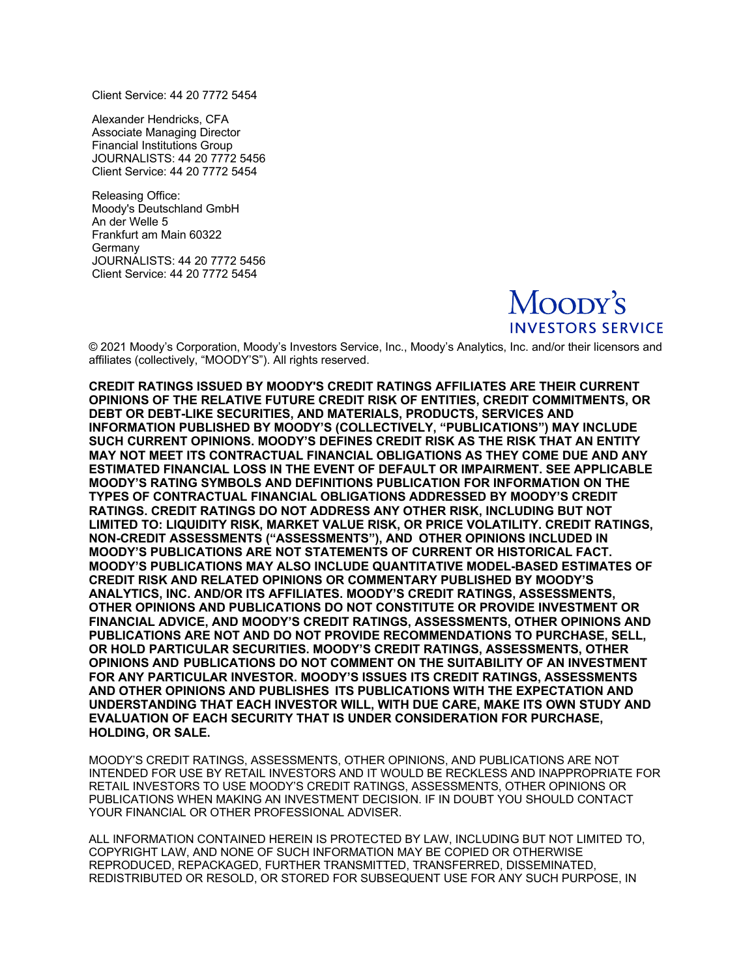Client Service: 44 20 7772 5454

Alexander Hendricks, CFA Associate Managing Director Financial Institutions Group JOURNALISTS: 44 20 7772 5456 Client Service: 44 20 7772 5454

Releasing Office: Moody's Deutschland GmbH An der Welle 5 Frankfurt am Main 60322 Germany JOURNALISTS: 44 20 7772 5456 Client Service: 44 20 7772 5454



© 2021 Moody's Corporation, Moody's Investors Service, Inc., Moody's Analytics, Inc. and/or their licensors and affiliates (collectively, "MOODY'S"). All rights reserved.

**CREDIT RATINGS ISSUED BY MOODY'S CREDIT RATINGS AFFILIATES ARE THEIR CURRENT OPINIONS OF THE RELATIVE FUTURE CREDIT RISK OF ENTITIES, CREDIT COMMITMENTS, OR DEBT OR DEBT-LIKE SECURITIES, AND MATERIALS, PRODUCTS, SERVICES AND INFORMATION PUBLISHED BY MOODY'S (COLLECTIVELY, "PUBLICATIONS") MAY INCLUDE SUCH CURRENT OPINIONS. MOODY'S DEFINES CREDIT RISK AS THE RISK THAT AN ENTITY MAY NOT MEET ITS CONTRACTUAL FINANCIAL OBLIGATIONS AS THEY COME DUE AND ANY ESTIMATED FINANCIAL LOSS IN THE EVENT OF DEFAULT OR IMPAIRMENT. SEE APPLICABLE MOODY'S RATING SYMBOLS AND DEFINITIONS PUBLICATION FOR INFORMATION ON THE TYPES OF CONTRACTUAL FINANCIAL OBLIGATIONS ADDRESSED BY MOODY'S CREDIT RATINGS. CREDIT RATINGS DO NOT ADDRESS ANY OTHER RISK, INCLUDING BUT NOT LIMITED TO: LIQUIDITY RISK, MARKET VALUE RISK, OR PRICE VOLATILITY. CREDIT RATINGS, NON-CREDIT ASSESSMENTS ("ASSESSMENTS"), AND OTHER OPINIONS INCLUDED IN MOODY'S PUBLICATIONS ARE NOT STATEMENTS OF CURRENT OR HISTORICAL FACT. MOODY'S PUBLICATIONS MAY ALSO INCLUDE QUANTITATIVE MODEL-BASED ESTIMATES OF CREDIT RISK AND RELATED OPINIONS OR COMMENTARY PUBLISHED BY MOODY'S ANALYTICS, INC. AND/OR ITS AFFILIATES. MOODY'S CREDIT RATINGS, ASSESSMENTS, OTHER OPINIONS AND PUBLICATIONS DO NOT CONSTITUTE OR PROVIDE INVESTMENT OR FINANCIAL ADVICE, AND MOODY'S CREDIT RATINGS, ASSESSMENTS, OTHER OPINIONS AND PUBLICATIONS ARE NOT AND DO NOT PROVIDE RECOMMENDATIONS TO PURCHASE, SELL, OR HOLD PARTICULAR SECURITIES. MOODY'S CREDIT RATINGS, ASSESSMENTS, OTHER OPINIONS AND PUBLICATIONS DO NOT COMMENT ON THE SUITABILITY OF AN INVESTMENT FOR ANY PARTICULAR INVESTOR. MOODY'S ISSUES ITS CREDIT RATINGS, ASSESSMENTS AND OTHER OPINIONS AND PUBLISHES ITS PUBLICATIONS WITH THE EXPECTATION AND UNDERSTANDING THAT EACH INVESTOR WILL, WITH DUE CARE, MAKE ITS OWN STUDY AND EVALUATION OF EACH SECURITY THAT IS UNDER CONSIDERATION FOR PURCHASE, HOLDING, OR SALE.** 

MOODY'S CREDIT RATINGS, ASSESSMENTS, OTHER OPINIONS, AND PUBLICATIONS ARE NOT INTENDED FOR USE BY RETAIL INVESTORS AND IT WOULD BE RECKLESS AND INAPPROPRIATE FOR RETAIL INVESTORS TO USE MOODY'S CREDIT RATINGS, ASSESSMENTS, OTHER OPINIONS OR PUBLICATIONS WHEN MAKING AN INVESTMENT DECISION. IF IN DOUBT YOU SHOULD CONTACT YOUR FINANCIAL OR OTHER PROFESSIONAL ADVISER.

ALL INFORMATION CONTAINED HEREIN IS PROTECTED BY LAW, INCLUDING BUT NOT LIMITED TO, COPYRIGHT LAW, AND NONE OF SUCH INFORMATION MAY BE COPIED OR OTHERWISE REPRODUCED, REPACKAGED, FURTHER TRANSMITTED, TRANSFERRED, DISSEMINATED, REDISTRIBUTED OR RESOLD, OR STORED FOR SUBSEQUENT USE FOR ANY SUCH PURPOSE, IN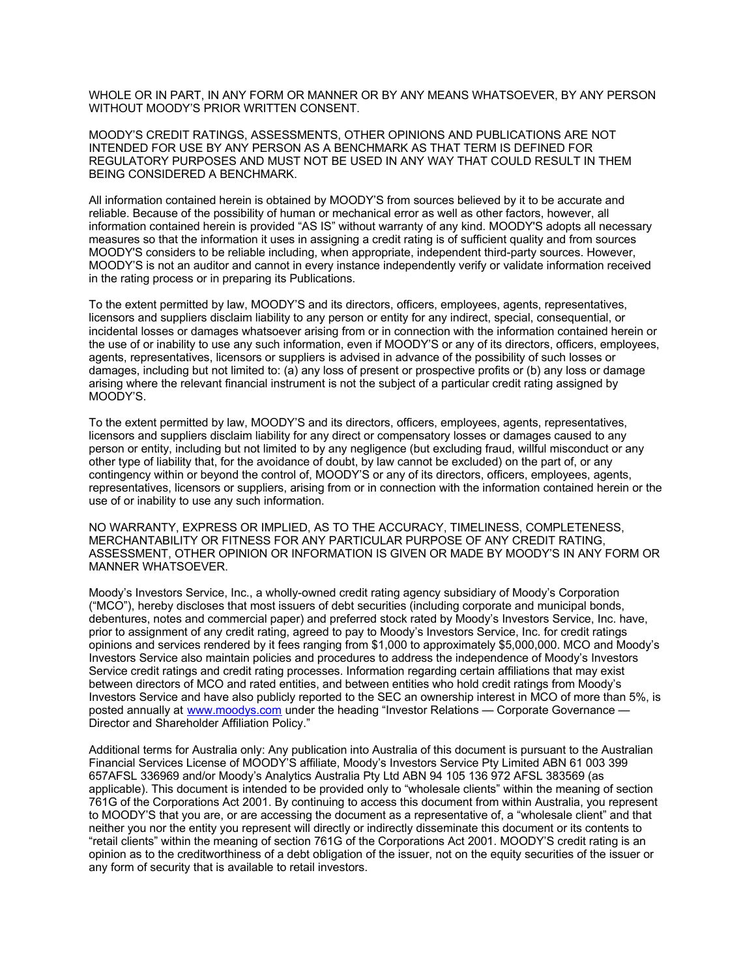WHOLE OR IN PART, IN ANY FORM OR MANNER OR BY ANY MEANS WHATSOEVER, BY ANY PERSON WITHOUT MOODY'S PRIOR WRITTEN CONSENT.

MOODY'S CREDIT RATINGS, ASSESSMENTS, OTHER OPINIONS AND PUBLICATIONS ARE NOT INTENDED FOR USE BY ANY PERSON AS A BENCHMARK AS THAT TERM IS DEFINED FOR REGULATORY PURPOSES AND MUST NOT BE USED IN ANY WAY THAT COULD RESULT IN THEM BEING CONSIDERED A BENCHMARK.

All information contained herein is obtained by MOODY'S from sources believed by it to be accurate and reliable. Because of the possibility of human or mechanical error as well as other factors, however, all information contained herein is provided "AS IS" without warranty of any kind. MOODY'S adopts all necessary measures so that the information it uses in assigning a credit rating is of sufficient quality and from sources MOODY'S considers to be reliable including, when appropriate, independent third-party sources. However, MOODY'S is not an auditor and cannot in every instance independently verify or validate information received in the rating process or in preparing its Publications.

To the extent permitted by law, MOODY'S and its directors, officers, employees, agents, representatives, licensors and suppliers disclaim liability to any person or entity for any indirect, special, consequential, or incidental losses or damages whatsoever arising from or in connection with the information contained herein or the use of or inability to use any such information, even if MOODY'S or any of its directors, officers, employees, agents, representatives, licensors or suppliers is advised in advance of the possibility of such losses or damages, including but not limited to: (a) any loss of present or prospective profits or (b) any loss or damage arising where the relevant financial instrument is not the subject of a particular credit rating assigned by MOODY'S.

To the extent permitted by law, MOODY'S and its directors, officers, employees, agents, representatives, licensors and suppliers disclaim liability for any direct or compensatory losses or damages caused to any person or entity, including but not limited to by any negligence (but excluding fraud, willful misconduct or any other type of liability that, for the avoidance of doubt, by law cannot be excluded) on the part of, or any contingency within or beyond the control of, MOODY'S or any of its directors, officers, employees, agents, representatives, licensors or suppliers, arising from or in connection with the information contained herein or the use of or inability to use any such information.

NO WARRANTY, EXPRESS OR IMPLIED, AS TO THE ACCURACY, TIMELINESS, COMPLETENESS, MERCHANTABILITY OR FITNESS FOR ANY PARTICULAR PURPOSE OF ANY CREDIT RATING, ASSESSMENT, OTHER OPINION OR INFORMATION IS GIVEN OR MADE BY MOODY'S IN ANY FORM OR MANNER WHATSOEVER.

Moody's Investors Service, Inc., a wholly-owned credit rating agency subsidiary of Moody's Corporation ("MCO"), hereby discloses that most issuers of debt securities (including corporate and municipal bonds, debentures, notes and commercial paper) and preferred stock rated by Moody's Investors Service, Inc. have, prior to assignment of any credit rating, agreed to pay to Moody's Investors Service, Inc. for credit ratings opinions and services rendered by it fees ranging from \$1,000 to approximately \$5,000,000. MCO and Moody's Investors Service also maintain policies and procedures to address the independence of Moody's Investors Service credit ratings and credit rating processes. Information regarding certain affiliations that may exist between directors of MCO and rated entities, and between entities who hold credit ratings from Moody's Investors Service and have also publicly reported to the SEC an ownership interest in MCO of more than 5%, is posted annually at [www.moodys.com](http://www.moodys.com/) under the heading "Investor Relations — Corporate Governance — Director and Shareholder Affiliation Policy."

Additional terms for Australia only: Any publication into Australia of this document is pursuant to the Australian Financial Services License of MOODY'S affiliate, Moody's Investors Service Pty Limited ABN 61 003 399 657AFSL 336969 and/or Moody's Analytics Australia Pty Ltd ABN 94 105 136 972 AFSL 383569 (as applicable). This document is intended to be provided only to "wholesale clients" within the meaning of section 761G of the Corporations Act 2001. By continuing to access this document from within Australia, you represent to MOODY'S that you are, or are accessing the document as a representative of, a "wholesale client" and that neither you nor the entity you represent will directly or indirectly disseminate this document or its contents to "retail clients" within the meaning of section 761G of the Corporations Act 2001. MOODY'S credit rating is an opinion as to the creditworthiness of a debt obligation of the issuer, not on the equity securities of the issuer or any form of security that is available to retail investors.